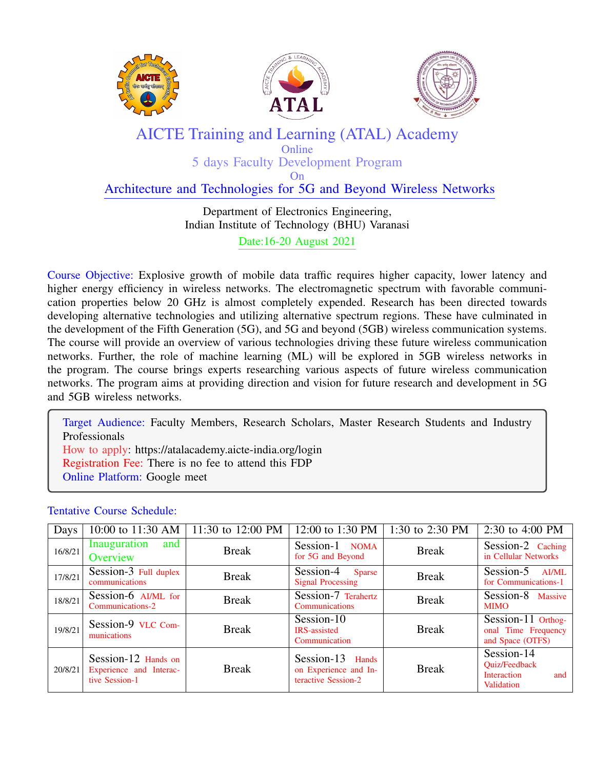





## AICTE Training and Learning (ATAL) Academy **Online**

5 days Faculty Development Program On

## Architecture and Technologies for 5G and Beyond Wireless Networks

## Department of Electronics Engineering, Indian Institute of Technology (BHU) Varanasi Date:16-20 August 2021

Course Objective: Explosive growth of mobile data traffic requires higher capacity, lower latency and higher energy efficiency in wireless networks. The electromagnetic spectrum with favorable communication properties below 20 GHz is almost completely expended. Research has been directed towards developing alternative technologies and utilizing alternative spectrum regions. These have culminated in the development of the Fifth Generation (5G), and 5G and beyond (5GB) wireless communication systems. The course will provide an overview of various technologies driving these future wireless communication networks. Further, the role of machine learning (ML) will be explored in 5GB wireless networks in the program. The course brings experts researching various aspects of future wireless communication networks. The program aims at providing direction and vision for future research and development in 5G and 5GB wireless networks.

Target Audience: Faculty Members, Research Scholars, Master Research Students and Industry Professionals How to apply: https://atalacademy.aicte-india.org/login Registration Fee: There is no fee to attend this FDP Online Platform: Google meet

## Tentative Course Schedule:

| Days    | 10:00 to 11:30 AM                                                | 11:30 to 12:00 PM | 12:00 to 1:30 PM                                                 | 1:30 to 2:30 PM | 2:30 to 4:00 PM                                                               |
|---------|------------------------------------------------------------------|-------------------|------------------------------------------------------------------|-----------------|-------------------------------------------------------------------------------|
| 16/8/21 | Inauguration<br>and<br>Overview                                  | <b>Break</b>      | Session-1 NOMA<br>for 5G and Beyond                              | <b>Break</b>    | Session-2 Caching<br>in Cellular Networks                                     |
| 17/8/21 | Session-3 Full duplex<br>communications                          | <b>Break</b>      | $Session-4$<br><b>Sparse</b><br><b>Signal Processing</b>         | <b>Break</b>    | Session-5<br>AI/ML<br>for Communications-1                                    |
| 18/8/21 | Session-6 AI/ML for<br>Communications-2                          | <b>Break</b>      | Session-7 Terahertz<br>Communications                            | <b>Break</b>    | Session-8 Massive<br><b>MIMO</b>                                              |
| 19/8/21 | Session-9 VLC Com-<br>munications                                | <b>Break</b>      | Session-10<br><b>IRS-assisted</b><br>Communication               | <b>Break</b>    | Session-11 Orthog-<br>onal Time Frequency<br>and Space (OTFS)                 |
| 20/8/21 | Session-12 Hands on<br>Experience and Interac-<br>tive Session-1 | <b>Break</b>      | Session-13 Hands<br>on Experience and In-<br>teractive Session-2 | <b>Break</b>    | Session-14<br><b>Ouiz/Feedback</b><br><b>Interaction</b><br>and<br>Validation |